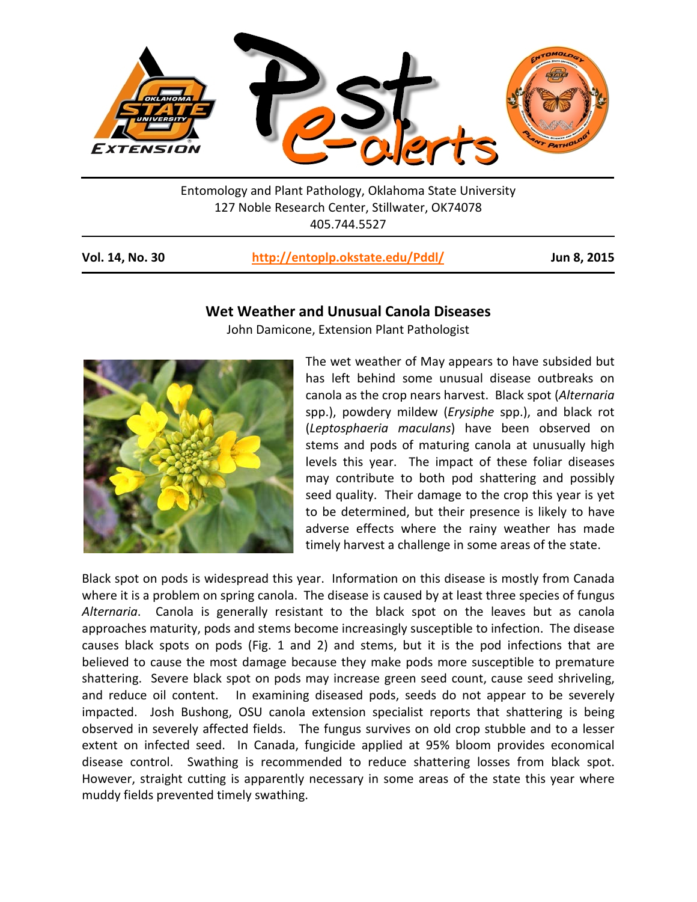

Entomology and Plant Pathology, Oklahoma State University 127 Noble Research Center, Stillwater, OK74078 405.744.5527

**Vol. 14, No. 30 <http://entoplp.okstate.edu/Pddl/> Jun 8, 2015**

## **Wet Weather and Unusual Canola Diseases**

John Damicone, Extension Plant Pathologist



The wet weather of May appears to have subsided but has left behind some unusual disease outbreaks on canola as the crop nears harvest. Black spot (*Alternaria* spp.), powdery mildew (*Erysiphe* spp.), and black rot (*Leptosphaeria maculans*) have been observed on stems and pods of maturing canola at unusually high levels this year. The impact of these foliar diseases may contribute to both pod shattering and possibly seed quality. Their damage to the crop this year is yet to be determined, but their presence is likely to have adverse effects where the rainy weather has made timely harvest a challenge in some areas of the state.

Black spot on pods is widespread this year. Information on this disease is mostly from Canada where it is a problem on spring canola. The disease is caused by at least three species of fungus *Alternaria*. Canola is generally resistant to the black spot on the leaves but as canola approaches maturity, pods and stems become increasingly susceptible to infection. The disease causes black spots on pods (Fig. 1 and 2) and stems, but it is the pod infections that are believed to cause the most damage because they make pods more susceptible to premature shattering. Severe black spot on pods may increase green seed count, cause seed shriveling, and reduce oil content. In examining diseased pods, seeds do not appear to be severely impacted. Josh Bushong, OSU canola extension specialist reports that shattering is being observed in severely affected fields. The fungus survives on old crop stubble and to a lesser extent on infected seed. In Canada, fungicide applied at 95% bloom provides economical disease control. Swathing is recommended to reduce shattering losses from black spot. However, straight cutting is apparently necessary in some areas of the state this year where muddy fields prevented timely swathing.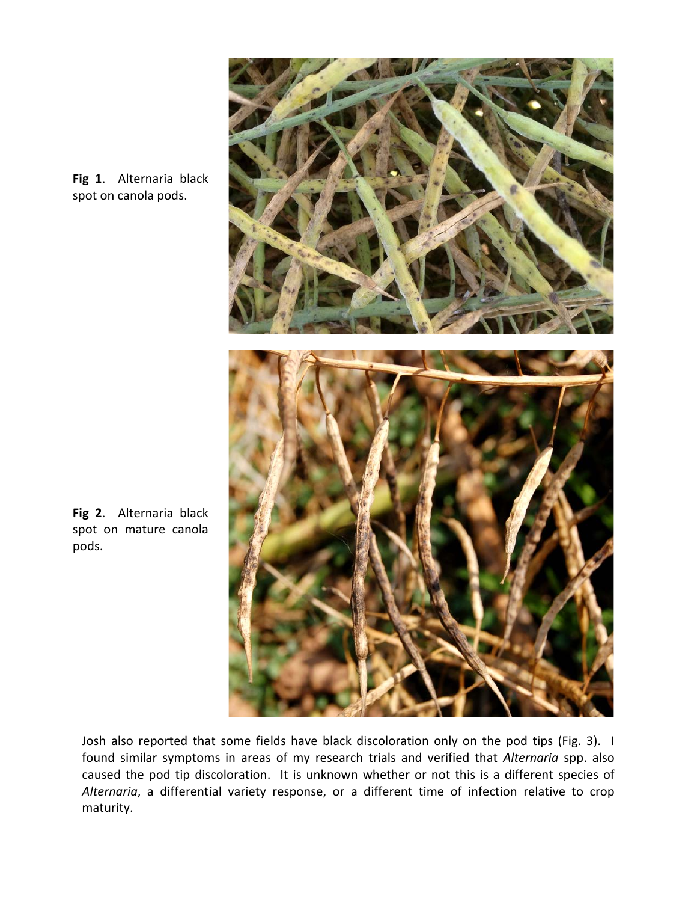

**Fig 1**. Alternaria black spot on canola pods.

Josh also reported that some fields have black discoloration only on the pod tips (Fig. 3). I found similar symptoms in areas of my research trials and verified that *Alternaria* spp. also caused the pod tip discoloration. It is unknown whether or not this is a different species of *Alternaria*, a differential variety response, or a different time of infection relative to crop maturity.

**Fig 2**. Alternaria black spot on mature canola pods.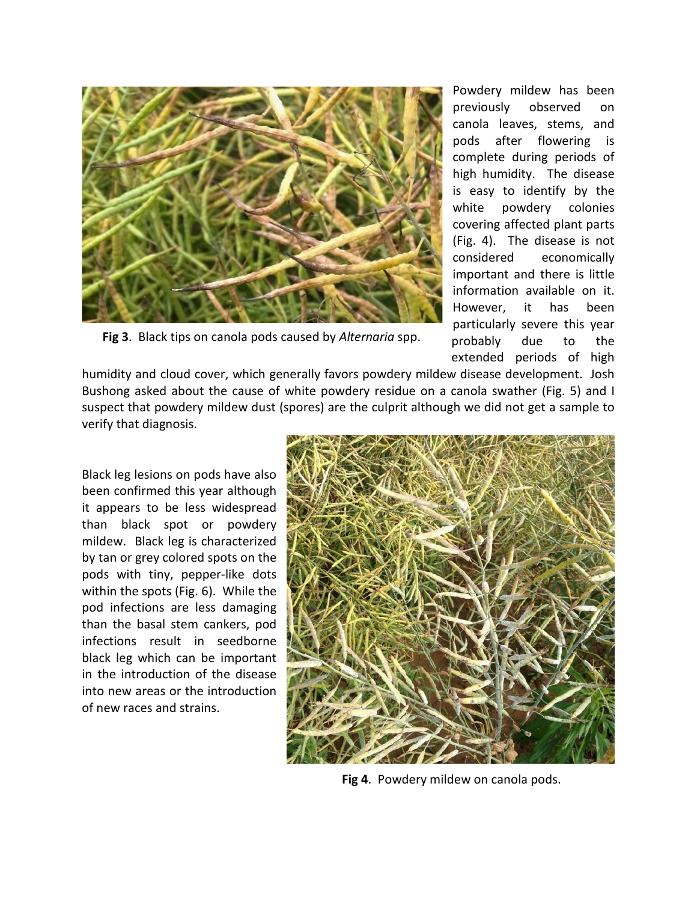![](_page_2_Picture_0.jpeg)

 **Fig 3**. Black tips on canola pods caused by *Alternaria* spp.

Powdery mildew has been previously observed on canola leaves, stems, and pods after flowering is complete during periods of high humidity. The disease is easy to identify by the white powdery colonies covering affected plant parts (Fig. 4). The disease is not considered economically important and there is little information available on it. However, it has been particularly severe this year probably due to the extended periods of high

humidity and cloud cover, which generally favors powdery mildew disease development. Josh Bushong asked about the cause of white powdery residue on a canola swather (Fig. 5) and I suspect that powdery mildew dust (spores) are the culprit although we did not get a sample to verify that diagnosis.

Black leg lesions on pods have also been confirmed this year although it appears to be less widespread than black spot or powdery mildew. Black leg is characterized by tan or grey colored spots on the pods with tiny, pepper-like dots within the spots (Fig. 6). While the pod infections are less damaging than the basal stem cankers, pod infections result in seedborne black leg which can be important in the introduction of the disease into new areas or the introduction of new races and strains.

![](_page_2_Picture_5.jpeg)

**Fig 4**. Powdery mildew on canola pods.